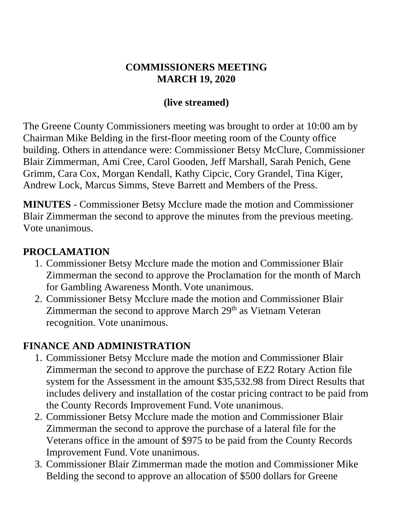#### **COMMISSIONERS MEETING MARCH 19, 2020**

#### **(live streamed)**

The Greene County Commissioners meeting was brought to order at 10:00 am by Chairman Mike Belding in the first-floor meeting room of the County office building. Others in attendance were: Commissioner Betsy McClure, Commissioner Blair Zimmerman, Ami Cree, Carol Gooden, Jeff Marshall, Sarah Penich, Gene Grimm, Cara Cox, Morgan Kendall, Kathy Cipcic, Cory Grandel, Tina Kiger, Andrew Lock, Marcus Simms, Steve Barrett and Members of the Press.

**MINUTES** - Commissioner Betsy Mcclure made the motion and Commissioner Blair Zimmerman the second to approve the minutes from the previous meeting. Vote unanimous.

#### **PROCLAMATION**

- 1. Commissioner Betsy Mcclure made the motion and Commissioner Blair Zimmerman the second to approve the Proclamation for the month of March for Gambling Awareness Month. Vote unanimous.
- 2. Commissioner Betsy Mcclure made the motion and Commissioner Blair Zimmerman the second to approve March 29<sup>th</sup> as Vietnam Veteran recognition. Vote unanimous.

## **FINANCE AND ADMINISTRATION**

- 1. Commissioner Betsy Mcclure made the motion and Commissioner Blair Zimmerman the second to approve the purchase of EZ2 Rotary Action file system for the Assessment in the amount \$35,532.98 from Direct Results that includes delivery and installation of the costar pricing contract to be paid from the County Records Improvement Fund. Vote unanimous.
- 2. Commissioner Betsy Mcclure made the motion and Commissioner Blair Zimmerman the second to approve the purchase of a lateral file for the Veterans office in the amount of \$975 to be paid from the County Records Improvement Fund. Vote unanimous.
- 3. Commissioner Blair Zimmerman made the motion and Commissioner Mike Belding the second to approve an allocation of \$500 dollars for Greene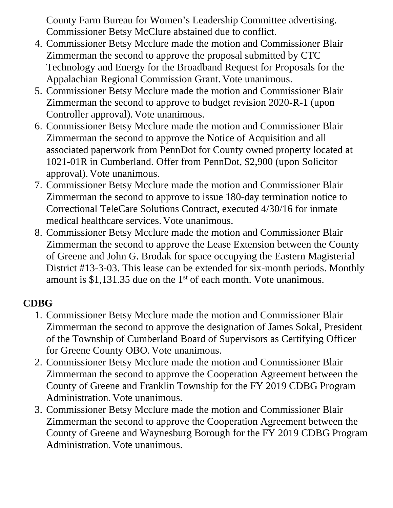County Farm Bureau for Women's Leadership Committee advertising. Commissioner Betsy McClure abstained due to conflict.

- 4. Commissioner Betsy Mcclure made the motion and Commissioner Blair Zimmerman the second to approve the proposal submitted by CTC Technology and Energy for the Broadband Request for Proposals for the Appalachian Regional Commission Grant. Vote unanimous.
- 5. Commissioner Betsy Mcclure made the motion and Commissioner Blair Zimmerman the second to approve to budget revision 2020-R-1 (upon Controller approval). Vote unanimous.
- 6. Commissioner Betsy Mcclure made the motion and Commissioner Blair Zimmerman the second to approve the Notice of Acquisition and all associated paperwork from PennDot for County owned property located at 1021-01R in Cumberland. Offer from PennDot, \$2,900 (upon Solicitor approval). Vote unanimous.
- 7. Commissioner Betsy Mcclure made the motion and Commissioner Blair Zimmerman the second to approve to issue 180-day termination notice to Correctional TeleCare Solutions Contract, executed 4/30/16 for inmate medical healthcare services. Vote unanimous.
- 8. Commissioner Betsy Mcclure made the motion and Commissioner Blair Zimmerman the second to approve the Lease Extension between the County of Greene and John G. Brodak for space occupying the Eastern Magisterial District #13-3-03. This lease can be extended for six-month periods. Monthly amount is  $$1,131.35$  due on the 1<sup>st</sup> of each month. Vote unanimous.

# **CDBG**

- 1. Commissioner Betsy Mcclure made the motion and Commissioner Blair Zimmerman the second to approve the designation of James Sokal, President of the Township of Cumberland Board of Supervisors as Certifying Officer for Greene County OBO. Vote unanimous.
- 2. Commissioner Betsy Mcclure made the motion and Commissioner Blair Zimmerman the second to approve the Cooperation Agreement between the County of Greene and Franklin Township for the FY 2019 CDBG Program Administration. Vote unanimous.
- 3. Commissioner Betsy Mcclure made the motion and Commissioner Blair Zimmerman the second to approve the Cooperation Agreement between the County of Greene and Waynesburg Borough for the FY 2019 CDBG Program Administration. Vote unanimous.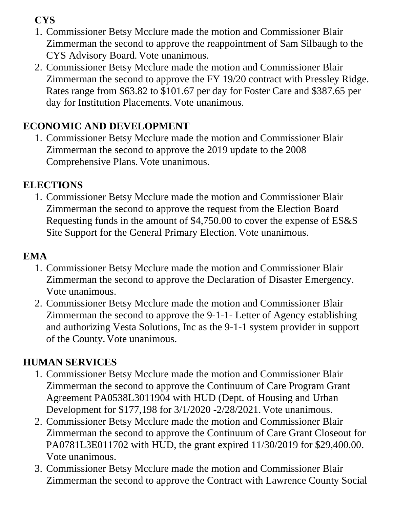**CYS**

- 1. Commissioner Betsy Mcclure made the motion and Commissioner Blair Zimmerman the second to approve the reappointment of Sam Silbaugh to the CYS Advisory Board. Vote unanimous.
- 2. Commissioner Betsy Mcclure made the motion and Commissioner Blair Zimmerman the second to approve the FY 19/20 contract with Pressley Ridge. Rates range from \$63.82 to \$101.67 per day for Foster Care and \$387.65 per day for Institution Placements. Vote unanimous.

# **ECONOMIC AND DEVELOPMENT**

1. Commissioner Betsy Mcclure made the motion and Commissioner Blair Zimmerman the second to approve the 2019 update to the 2008 Comprehensive Plans. Vote unanimous.

## **ELECTIONS**

1. Commissioner Betsy Mcclure made the motion and Commissioner Blair Zimmerman the second to approve the request from the Election Board Requesting funds in the amount of \$4,750.00 to cover the expense of ES&S Site Support for the General Primary Election. Vote unanimous.

## **EMA**

- 1. Commissioner Betsy Mcclure made the motion and Commissioner Blair Zimmerman the second to approve the Declaration of Disaster Emergency. Vote unanimous.
- 2. Commissioner Betsy Mcclure made the motion and Commissioner Blair Zimmerman the second to approve the 9-1-1- Letter of Agency establishing and authorizing Vesta Solutions, Inc as the 9-1-1 system provider in support of the County. Vote unanimous.

# **HUMAN SERVICES**

- 1. Commissioner Betsy Mcclure made the motion and Commissioner Blair Zimmerman the second to approve the Continuum of Care Program Grant Agreement PA0538L3011904 with HUD (Dept. of Housing and Urban Development for \$177,198 for 3/1/2020 -2/28/2021. Vote unanimous.
- 2. Commissioner Betsy Mcclure made the motion and Commissioner Blair Zimmerman the second to approve the Continuum of Care Grant Closeout for PA0781L3E011702 with HUD, the grant expired 11/30/2019 for \$29,400.00. Vote unanimous.
- 3. Commissioner Betsy Mcclure made the motion and Commissioner Blair Zimmerman the second to approve the Contract with Lawrence County Social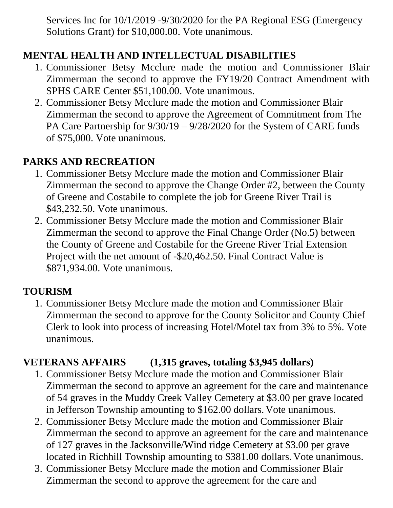Services Inc for 10/1/2019 -9/30/2020 for the PA Regional ESG (Emergency Solutions Grant) for \$10,000.00. Vote unanimous.

## **MENTAL HEALTH AND INTELLECTUAL DISABILITIES**

- 1. Commissioner Betsy Mcclure made the motion and Commissioner Blair Zimmerman the second to approve the FY19/20 Contract Amendment with SPHS CARE Center \$51,100.00. Vote unanimous.
- 2. Commissioner Betsy Mcclure made the motion and Commissioner Blair Zimmerman the second to approve the Agreement of Commitment from The PA Care Partnership for 9/30/19 – 9/28/2020 for the System of CARE funds of \$75,000. Vote unanimous.

#### **PARKS AND RECREATION**

- 1. Commissioner Betsy Mcclure made the motion and Commissioner Blair Zimmerman the second to approve the Change Order #2, between the County of Greene and Costabile to complete the job for Greene River Trail is \$43,232.50. Vote unanimous.
- 2. Commissioner Betsy Mcclure made the motion and Commissioner Blair Zimmerman the second to approve the Final Change Order (No.5) between the County of Greene and Costabile for the Greene River Trial Extension Project with the net amount of -\$20,462.50. Final Contract Value is \$871,934.00. Vote unanimous.

#### **TOURISM**

1. Commissioner Betsy Mcclure made the motion and Commissioner Blair Zimmerman the second to approve for the County Solicitor and County Chief Clerk to look into process of increasing Hotel/Motel tax from 3% to 5%. Vote unanimous.

## **VETERANS AFFAIRS (1,315 graves, totaling \$3,945 dollars)**

- 1. Commissioner Betsy Mcclure made the motion and Commissioner Blair Zimmerman the second to approve an agreement for the care and maintenance of 54 graves in the Muddy Creek Valley Cemetery at \$3.00 per grave located in Jefferson Township amounting to \$162.00 dollars. Vote unanimous.
- 2. Commissioner Betsy Mcclure made the motion and Commissioner Blair Zimmerman the second to approve an agreement for the care and maintenance of 127 graves in the Jacksonville/Wind ridge Cemetery at \$3.00 per grave located in Richhill Township amounting to \$381.00 dollars. Vote unanimous.
- 3. Commissioner Betsy Mcclure made the motion and Commissioner Blair Zimmerman the second to approve the agreement for the care and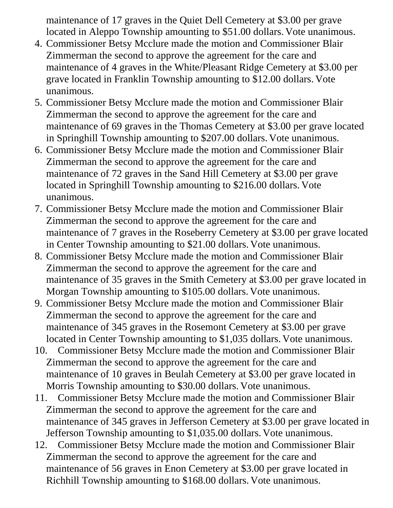maintenance of 17 graves in the Quiet Dell Cemetery at \$3.00 per grave located in Aleppo Township amounting to \$51.00 dollars. Vote unanimous.

- 4. Commissioner Betsy Mcclure made the motion and Commissioner Blair Zimmerman the second to approve the agreement for the care and maintenance of 4 graves in the White/Pleasant Ridge Cemetery at \$3.00 per grave located in Franklin Township amounting to \$12.00 dollars. Vote unanimous.
- 5. Commissioner Betsy Mcclure made the motion and Commissioner Blair Zimmerman the second to approve the agreement for the care and maintenance of 69 graves in the Thomas Cemetery at \$3.00 per grave located in Springhill Township amounting to \$207.00 dollars. Vote unanimous.
- 6. Commissioner Betsy Mcclure made the motion and Commissioner Blair Zimmerman the second to approve the agreement for the care and maintenance of 72 graves in the Sand Hill Cemetery at \$3.00 per grave located in Springhill Township amounting to \$216.00 dollars. Vote unanimous.
- 7. Commissioner Betsy Mcclure made the motion and Commissioner Blair Zimmerman the second to approve the agreement for the care and maintenance of 7 graves in the Roseberry Cemetery at \$3.00 per grave located in Center Township amounting to \$21.00 dollars. Vote unanimous.
- 8. Commissioner Betsy Mcclure made the motion and Commissioner Blair Zimmerman the second to approve the agreement for the care and maintenance of 35 graves in the Smith Cemetery at \$3.00 per grave located in Morgan Township amounting to \$105.00 dollars. Vote unanimous.
- 9. Commissioner Betsy Mcclure made the motion and Commissioner Blair Zimmerman the second to approve the agreement for the care and maintenance of 345 graves in the Rosemont Cemetery at \$3.00 per grave located in Center Township amounting to \$1,035 dollars. Vote unanimous.
- 10. Commissioner Betsy Mcclure made the motion and Commissioner Blair Zimmerman the second to approve the agreement for the care and maintenance of 10 graves in Beulah Cemetery at \$3.00 per grave located in Morris Township amounting to \$30.00 dollars. Vote unanimous.
- 11. Commissioner Betsy Mcclure made the motion and Commissioner Blair Zimmerman the second to approve the agreement for the care and maintenance of 345 graves in Jefferson Cemetery at \$3.00 per grave located in Jefferson Township amounting to \$1,035.00 dollars. Vote unanimous.
- 12. Commissioner Betsy Mcclure made the motion and Commissioner Blair Zimmerman the second to approve the agreement for the care and maintenance of 56 graves in Enon Cemetery at \$3.00 per grave located in Richhill Township amounting to \$168.00 dollars. Vote unanimous.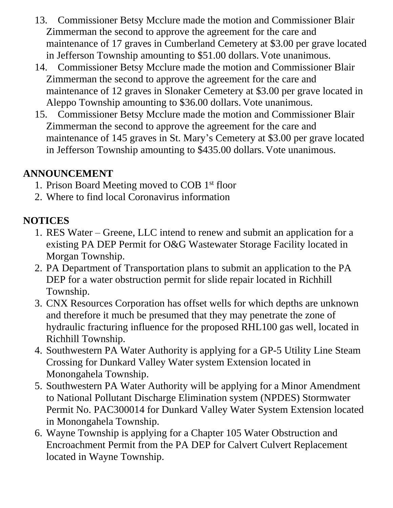- 13. Commissioner Betsy Mcclure made the motion and Commissioner Blair Zimmerman the second to approve the agreement for the care and maintenance of 17 graves in Cumberland Cemetery at \$3.00 per grave located in Jefferson Township amounting to \$51.00 dollars. Vote unanimous.
- 14. Commissioner Betsy Mcclure made the motion and Commissioner Blair Zimmerman the second to approve the agreement for the care and maintenance of 12 graves in Slonaker Cemetery at \$3.00 per grave located in Aleppo Township amounting to \$36.00 dollars. Vote unanimous.
- 15. Commissioner Betsy Mcclure made the motion and Commissioner Blair Zimmerman the second to approve the agreement for the care and maintenance of 145 graves in St. Mary's Cemetery at \$3.00 per grave located in Jefferson Township amounting to \$435.00 dollars. Vote unanimous.

#### **ANNOUNCEMENT**

- 1. Prison Board Meeting moved to COB 1st floor
- 2. Where to find local Coronavirus information

## **NOTICES**

- 1. RES Water Greene, LLC intend to renew and submit an application for a existing PA DEP Permit for O&G Wastewater Storage Facility located in Morgan Township.
- 2. PA Department of Transportation plans to submit an application to the PA DEP for a water obstruction permit for slide repair located in Richhill Township.
- 3. CNX Resources Corporation has offset wells for which depths are unknown and therefore it much be presumed that they may penetrate the zone of hydraulic fracturing influence for the proposed RHL100 gas well, located in Richhill Township.
- 4. Southwestern PA Water Authority is applying for a GP-5 Utility Line Steam Crossing for Dunkard Valley Water system Extension located in Monongahela Township.
- 5. Southwestern PA Water Authority will be applying for a Minor Amendment to National Pollutant Discharge Elimination system (NPDES) Stormwater Permit No. PAC300014 for Dunkard Valley Water System Extension located in Monongahela Township.
- 6. Wayne Township is applying for a Chapter 105 Water Obstruction and Encroachment Permit from the PA DEP for Calvert Culvert Replacement located in Wayne Township.